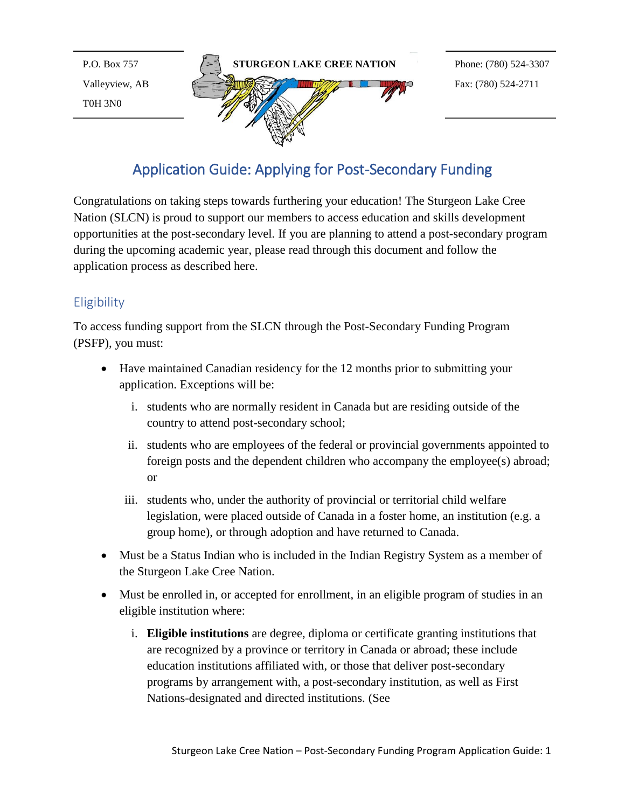P.O. Box 757 Valleyview, AB T0H 3N0



# Application Guide: Applying for Post-Secondary Funding

Congratulations on taking steps towards furthering your education! The Sturgeon Lake Cree Nation (SLCN) is proud to support our members to access education and skills development opportunities at the post-secondary level. If you are planning to attend a post-secondary program during the upcoming academic year, please read through this document and follow the application process as described here.

# **Eligibility**

To access funding support from the SLCN through the Post-Secondary Funding Program (PSFP), you must:

- Have maintained Canadian residency for the 12 months prior to submitting your application. Exceptions will be:
	- i. students who are normally resident in Canada but are residing outside of the country to attend post-secondary school;
	- ii. students who are employees of the federal or provincial governments appointed to foreign posts and the dependent children who accompany the employee(s) abroad; or
	- iii. students who, under the authority of provincial or territorial child welfare legislation, were placed outside of Canada in a foster home, an institution (e.g. a group home), or through adoption and have returned to Canada.
- Must be a Status Indian who is included in the Indian Registry System as a member of the Sturgeon Lake Cree Nation.
- Must be enrolled in, or accepted for enrollment, in an eligible program of studies in an eligible institution where:
	- i. **Eligible institutions** are degree, diploma or certificate granting institutions that are recognized by a province or territory in Canada or abroad; these include education institutions affiliated with, or those that deliver post-secondary programs by arrangement with, a post-secondary institution, as well as First Nations-designated and directed institutions. (See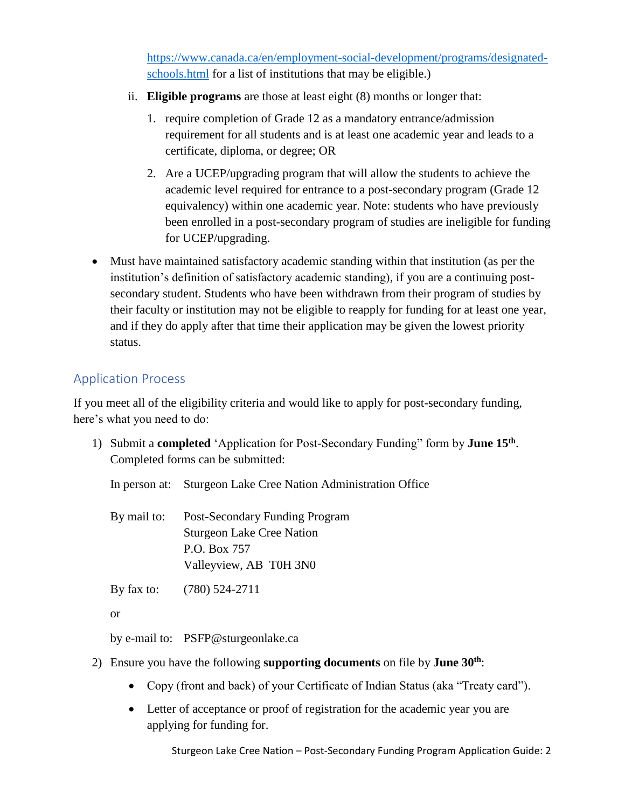[https://www.canada.ca/en/employment-social-development/programs/designated](https://www.canada.ca/en/employment-social-development/programs/designated-schools.html)[schools.html](https://www.canada.ca/en/employment-social-development/programs/designated-schools.html) for a list of institutions that may be eligible.)

- ii. **Eligible programs** are those at least eight (8) months or longer that:
	- 1. require completion of Grade 12 as a mandatory entrance/admission requirement for all students and is at least one academic year and leads to a certificate, diploma, or degree; OR
	- 2. Are a UCEP/upgrading program that will allow the students to achieve the academic level required for entrance to a post-secondary program (Grade 12 equivalency) within one academic year. Note: students who have previously been enrolled in a post-secondary program of studies are ineligible for funding for UCEP/upgrading.
- Must have maintained satisfactory academic standing within that institution (as per the institution's definition of satisfactory academic standing), if you are a continuing postsecondary student. Students who have been withdrawn from their program of studies by their faculty or institution may not be eligible to reapply for funding for at least one year, and if they do apply after that time their application may be given the lowest priority status.

### Application Process

If you meet all of the eligibility criteria and would like to apply for post-secondary funding, here's what you need to do:

1) Submit a **completed** 'Application for Post-Secondary Funding" form by **June 15th** . Completed forms can be submitted:

In person at: Sturgeon Lake Cree Nation Administration Office

By mail to: Post-Secondary Funding Program Sturgeon Lake Cree Nation P.O. Box 757 Valleyview, AB T0H 3N0

By fax to: (780) 524-2711

or

by e-mail to: PSFP@sturgeonlake.ca

- 2) Ensure you have the following **supporting documents** on file by **June 30th**:
	- Copy (front and back) of your Certificate of Indian Status (aka "Treaty card").
	- Letter of acceptance or proof of registration for the academic year you are applying for funding for.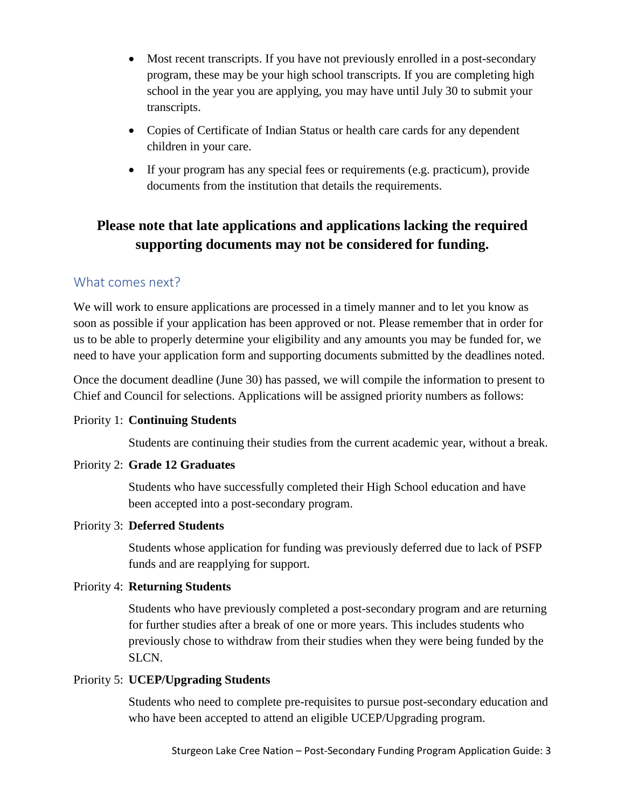- Most recent transcripts. If you have not previously enrolled in a post-secondary program, these may be your high school transcripts. If you are completing high school in the year you are applying, you may have until July 30 to submit your transcripts.
- Copies of Certificate of Indian Status or health care cards for any dependent children in your care.
- If your program has any special fees or requirements (e.g. practicum), provide documents from the institution that details the requirements.

# **Please note that late applications and applications lacking the required supporting documents may not be considered for funding.**

### What comes next?

We will work to ensure applications are processed in a timely manner and to let you know as soon as possible if your application has been approved or not. Please remember that in order for us to be able to properly determine your eligibility and any amounts you may be funded for, we need to have your application form and supporting documents submitted by the deadlines noted.

Once the document deadline (June 30) has passed, we will compile the information to present to Chief and Council for selections. Applications will be assigned priority numbers as follows:

#### Priority 1: **Continuing Students**

Students are continuing their studies from the current academic year, without a break.

#### Priority 2: **Grade 12 Graduates**

Students who have successfully completed their High School education and have been accepted into a post-secondary program.

#### Priority 3: **Deferred Students**

Students whose application for funding was previously deferred due to lack of PSFP funds and are reapplying for support.

### Priority 4: **Returning Students**

Students who have previously completed a post-secondary program and are returning for further studies after a break of one or more years. This includes students who previously chose to withdraw from their studies when they were being funded by the SLCN.

#### Priority 5: **UCEP/Upgrading Students**

Students who need to complete pre-requisites to pursue post-secondary education and who have been accepted to attend an eligible UCEP/Upgrading program.